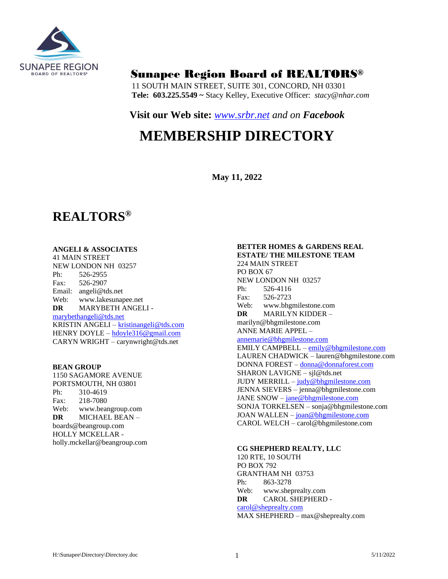

# Sunapee Region Board of REALTORS®

11 SOUTH MAIN STREET, SUITE 301, CONCORD, NH 03301 **Tele: 603.225.5549 ~** Stacy Kelley, Executive Officer: *stacy@nhar.com*

## **Visit our Web site:** *[www.srbr.net](http://www.srbr.net/) and on Facebook*

# **MEMBERSHIP DIRECTORY**

**May 11, 2022**

# **REALTORS®**

## **ANGELI & ASSOCIATES**

41 MAIN STREET NEW LONDON NH 03257 Ph: 526-2955 Fax: 526-2907 Email: angeli@tds.net Web: www.lakesunapee.net **DR** MARYBETH ANGELI [marybethangeli@tds.net](mailto:marybethangeli@tds.net) KRISTIN ANGELI – [kristinangeli@tds.com](mailto:kristinangeli@tds.com) HENRY DOYLE – [hdoyle316@gmail.com](mailto:hdoyle316@gmail.com) CARYN WRIGHT – carynwright@tds.net

#### **BEAN GROUP**

1150 SAGAMORE AVENUE PORTSMOUTH, NH 03801 Ph: 310-4619 Fax: 218-7080 Web: www.beangroup.com **DR** MICHAEL BEAN – boards@beangroup.com HOLLY MCKELLAR holly.mckellar@beangroup.com

## **BETTER HOMES & GARDENS REAL ESTATE/ THE MILESTONE TEAM**

224 MAIN STREET PO BOX 67 NEW LONDON NH 03257 Ph: 526-4116 Fax: 526-2723 Web: www.bhgmilestone.com **DR** MARILYN KIDDER – marilyn@bhgmilestone.com ANNE MARIE APPEL – [annemarie@bhgmilestone.com](mailto:annemarie@bhgmilestone.com) EMILY CAMPBELL – [emily@bhgmilestone.com](mailto:emily@bhgmilestone.com) LAUREN CHADWICK – lauren@bhgmilestone.com DONNA FOREST – [donna@donnaforest.com](mailto:donna@donnaforest.com) SHARON LAVIGNE – sjl@tds.net JUDY MERRILL – [judy@bhgmilestone.com](mailto:judy@bhgmilestone.com) JENNA SIEVERS – jenna@bhgmilestone.com JANE SNOW – [jane@bhgmilestone.com](mailto:jane@bhgmilestone.com) SONJA TORKELSEN – sonja@bhgmilestone.com JOAN WALLEN – [joan@bhgmilestone.com](mailto:joan@bhgmilestone.com) CAROL WELCH – carol@bhgmilestone.com

## **CG SHEPHERD REALTY, LLC**

120 RTE, 10 SOUTH PO BOX 792 GRANTHAM NH 03753 Ph: 863-3278 Web: www.sheprealty.com **DR** CAROL SHEPHERD [carol@sheprealty.com](mailto:carol@sheprealty.com)

MAX SHEPHERD – max@sheprealty.com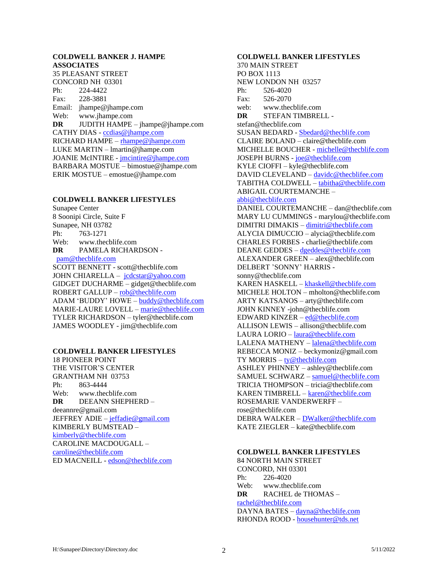## **COLDWELL BANKER J. HAMPE ASSOCIATES**

35 PLEASANT STREET CONCORD NH 03301 Ph: 224-4422 Fax: 228-3881 Email: jhampe@jhampe.com Web: www.jhampe.com **DR** JUDITH HAMPE – jhampe@jhampe.com CATHY DIAS - [ccdias@jhampe.com](mailto:ccdias@jhampe.com) RICHARD HAMPE – [rhampe@jhampe.com](mailto:rhampe@jhampe.com) LUKE MARTIN – lmartin@jhampe.com JOANIE McINTIRE - [jmcintire@jhampe.com](mailto:jmcintire@jhampe.com) BARBARA MOSTUE – bimostue@jhampe.com ERIK MOSTUE – emostue@jhampe.com

## **COLDWELL BANKER LIFESTYLES**

Sunapee Center 8 Soonipi Circle, Suite F Sunapee, NH 03782 Ph: 763-1271 Web: www.thecblife.com **DR** PAMELA RICHARDSON [pam@thecblife.com](mailto:pam@thecblife.com) SCOTT BENNETT - scott@thecblife.com JOHN CHIARELLA – [jcdcstar@yahoo.com](mailto:jcdcstar@yahoo.com) GIDGET DUCHARME – gidget@thecblife.com ROBERT GALLUP – [rob@thecblife.com](mailto:rob@thecblife.com) ADAM 'BUDDY' HOWE – [buddy@thecblife.com](mailto:buddy@thecblife.com) MARIE-LAURE LOVELL – [marie@thecblife.com](mailto:marie@thecblife.com) TYLER RICHARDSON – tyler@thecblife.com JAMES WOODLEY - jim@thecblife.com

#### **COLDWELL BANKER LIFESTYLES**

18 PIONEER POINT THE VISITOR'S CENTER GRANTHAM NH 03753 Ph: 863-4444 Web: www.thecblife.com **DR** DEEANN SHEPHERD – deeannre@gmail.com JEFFREY ADIE – [jeffadie@gmail.com](mailto:jeffadie@gmail.com) KIMBERLY BUMSTEAD – [kimberly@thecblife.com](mailto:kimberly@thecblife.com) CAROLINE MACDOUGALL – [caroline@thecblife.com](mailto:caroline@thecblife.com) ED MACNEILL - [edson@thecblife.com](mailto:edson@thecblife.com)

**COLDWELL BANKER LIFESTYLES** 370 MAIN STREET PO BOX 1113 NEW LONDON NH 03257 Ph: 526-4020 Fax: 526-2070 web: www.thecblife.com **DR** STEFAN TIMBRELL stefan@thecblife.com SUSAN BEDARD - [Sbedard@thecblife.com](mailto:Sbedard@thecblife.com) CLAIRE BOLAND – claire@thecblife.com MICHELLE BOUCHER - [michelle@thecblife.com](mailto:michelle@thecblife.com) JOSEPH BURNS - [joe@thecblife.com](mailto:joe@thecblife.com) KYLE CIOFFI – kyle@thecblife.com DAVID CLEVELAND - [davidc@thecblifee.com](mailto:davidc@thecblifee.com) TABITHA COLDWELL – [tabitha@thecblife.com](mailto:tabitha@thecblife.com) ABIGAIL COURTEMANCHE – [abbi@thecblife.com](mailto:abbi@thecblife.com) DANIEL COURTEMANCHE – dan@thecblife.com MARY LU CUMMINGS - marylou@thecblife.com DIMITRI DIMAKIS – [dimitri@thecblife.com](mailto:dimitri@thecblife.com) ALYCIA DIMUCCIO – alycia@thecblife.com CHARLES FORBES - charlie@thecblife.com DEANE GEDDES – [dgeddes@thecblife.com](mailto:dgeddes@thecblife.com) ALEXANDER GREEN – alex@thecblife.com DELBERT 'SONNY' HARRIS sonny@thecblife.com KAREN HASKELL – [khaskell@thecblife.com](mailto:khaskell@thecblife.com) MICHELE HOLTON – mholton@thecblife.com ARTY KATSANOS – arty@thecblife.com JOHN KINNEY -john@thecblife.com EDWARD KINZER – [ed@thecblife.com](mailto:ed@cblifestylesre.com) ALLISON LEWIS – allison@thecblife.com LAURA LORIO – [laura@thecblife.com](mailto:laura@cblifestylesre.com) LALENA MATHENY – [lalena@thecblife.com](mailto:lalena@thecblife.com) REBECCA MONIZ – beckymoniz@gmail.com TY MORRIS – [ty@thecblife.com](mailto:ty@cbylifestylesre.com) ASHLEY PHINNEY – ashley@thecblife.com SAMUEL SCHWARZ – [samuel@thecblife.com](mailto:samuel@thecblife.com) TRICIA THOMPSON – tricia@thecblife.com KAREN TIMBRELL – [karen@thecblife.com](mailto:karen@cblifestylesre.com) ROSEMARIE VANDERWERFF – rose@thecblife.com DEBRA WALKER – [DWalker@thecblife.com](mailto:DWalker@cblifestylesre.com) KATE ZIEGLER – kate@thecblife.com

#### **COLDWELL BANKER LIFESTYLES**

84 NORTH MAIN STREET CONCORD, NH 03301 Ph: 226-4020 Web: www.thecblife.com **DR** RACHEL de THOMAS – [rachel@thecblife.com](mailto:rachel@cblifestylesre.com) DAYNA BATES – [dayna@thecblife.com](mailto:dayna@cblifestylesre.com) RHONDA ROOD - [househunter@tds.net](mailto:househunter@tds.net)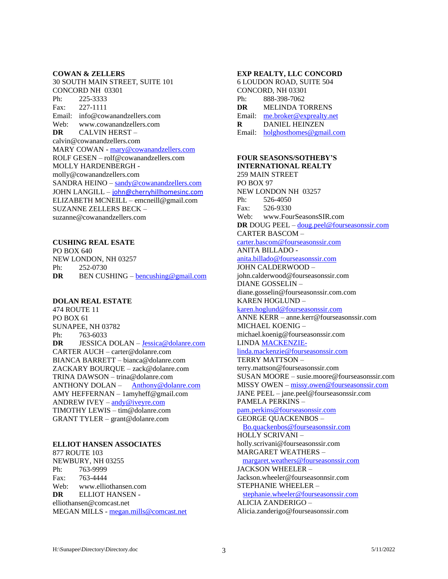#### **COWAN & ZELLERS**

30 SOUTH MAIN STREET, SUITE 101 CONCORD NH 03301 Ph: 225-3333 Fax: 227-1111 Email: info@cowanandzellers.com Web: www.cowanandzellers.com **DR** CALVIN HERST – calvin@cowanandzellers.com MARY COWAN - [mary@cowanandzellers.com](mailto:mary@cowanandzellers.com) ROLF GESEN – rolf@cowanandzellers.com MOLLY HARDENBERGH molly@cowanandzellers.com SANDRA HEINO – [sandy@cowanandzellers.com](mailto:sandy@cowanandzellers.com) JOHN LANGILL – [john@cherryhillhomesinc.com](mailto:john@cherryhillhomesinc.com) ELIZABETH MCNEILL – emcneill@gmail.com SUZANNE ZELLERS BECK – suzanne@cowanandzellers.com

## **CUSHING REAL ESATE**

PO BOX 640 NEW LONDON, NH 03257 Ph: 252-0730 **DR** BEN CUSHING – <u>[bencushing@gmail.com](mailto:bencushing@gmail.com)</u>

## **DOLAN REAL ESTATE**

474 ROUTE 11 PO BOX 61 SUNAPEE, NH 03782 Ph: 763-6033 **DR** JESSICA DOLAN – [Jessica@dolanre.com](mailto:Jessica@dolanre.com) CARTER AUCH – carter@dolanre.com BIANCA BARRETT – bianca@dolanre.com ZACKARY BOURQUE – zack@dolanre.com TRINA DAWSON – trina@dolanre.com ANTHONY DOLAN – [Anthony@dolanre.com](mailto:Anthony@dolanre.com) AMY HEFFERNAN – 1amyheff@gmail.com ANDREW IVEY – [andy@iveyre.com](mailto:andy@iveyre.com) TIMOTHY LEWIS – tim@dolanre.com GRANT TYLER – grant@dolanre.com

## **ELLIOT HANSEN ASSOCIATES**

877 ROUTE 103 NEWBURY, NH 03255 Ph: 763-9999 Fax: 763-4444 Web: www.elliothansen.com **DR** ELLIOT HANSEN elliothansen@comcast.net MEGAN MILLS - [megan.mills@comcast.net](mailto:megan.mills@comcast.net)

#### **EXP REALTY, LLC CONCORD**

6 LOUDON ROAD, SUITE 504 CONCORD, NH 03301 Ph: 888-398-7062 **DR** MELINDA TORRENS Email: [me.broker@exprealty.net](mailto:me.broker@exprealty.net) **R** DANIEL HEINZEN Email: [holghosthomes@gmail.com](mailto:holghosthomes@gmail.com)

## **FOUR SEASONS/SOTHEBY'S INTERNATIONAL REALTY** 259 MAIN STREET PO BOX 97 NEW LONDON NH 03257 Ph: 526-4050 Fax: 526-9330 Web: www.FourSeasonsSIR.com **DR** DOUG PEEL – [doug.peel@fourseasonssir.com](mailto:doug.peel@fourseasonssir.com) CARTER BASCOM – [carter.bascom@fourseasonssir.com](mailto:carter.bascom@fourseasonssir.com) ANITA BILLADO [anita.billado@fourseasonssir.com](mailto:anita.billado@fourseasonssir.com) JOHN CALDERWOOD – john.calderwood@fourseasonssir.com

DIANE GOSSELIN – diane.gosselin@fourseasonssir.com.com KAREN HOGLUND – [karen.hoglund@fourseasonssir.com](mailto:karen.hoglund@fourseasonssir.com) ANNE KERR – anne.kerr@fourseasonssir.com MICHAEL KOENIG – michael.koenig@fourseasonssir.com LIND[A MACKENZIE](mailto:MACKENZIE-linda.mackenzie@fourseasonssir.com)[linda.mackenzie@fourseasonssir.com](mailto:MACKENZIE-linda.mackenzie@fourseasonssir.com) TERRY MATTSON – terry.mattson@fourseasonssir.com SUSAN MOORE – susie.moore@fourseasonssir.com MISSY OWEN – [missy.owen@fourseasonssir.com](mailto:missy.owen@fourseasonssir.com) JANE PEEL – jane.peel@fourseasonssir.com PAMELA PERKINS – [pam.perkins@fourseasonssir.com](mailto:pam.perkins@fourseasonssir.com) GEORGE QUACKENBOS – [Bo.quackenbos@fourseasonssir.com](mailto:Bo.quackenbos@fourseasonssir.com) HOLLY SCRIVANI – holly.scrivani@fourseasonssir.com MARGARET WEATHERS – [margaret.weathers@fourseasonssir.com](mailto:margaret.weathers@fourseasonssir.com) JACKSON WHEELER – Jackson.wheeler@fourseasonnsir.com STEPHANIE WHEELER – [stephanie.wheeler@fourseasonssir.com](mailto:stephanie.wheeler@fourseasonssir.com)

ALICIA ZANDERIGO – Alicia.zanderigo@fourseasonssir.com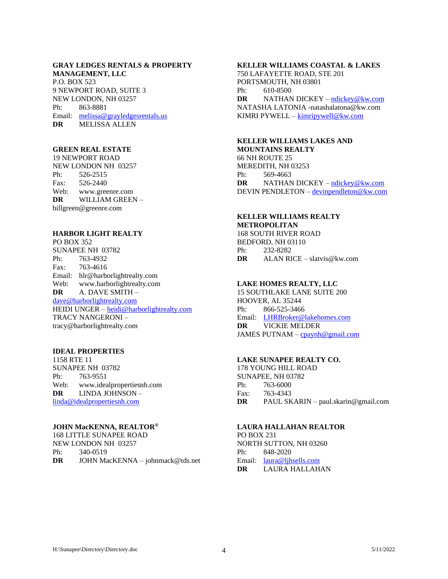## **GRAY LEDGES RENTALS & PROPERTY MANAGEMENT, LLC** P.O. BOX 523 9 NEWPORT ROAD, SUITE 3 NEW LONDON, NH 03257 Ph: 863-8881 Email: [melissa@grayledgesrentals.us](mailto:melissa@grayledgesrentals.us)

**DR** MELISSA ALLEN

## **GREEN REAL ESTATE**

19 NEWPORT ROAD NEW LONDON NH 03257 Ph: 526-2515 Fax: 526-2440 Web: www.greenre.com **DR** WILLIAM GREEN – billgreen@greenre.com

## **HARBOR LIGHT REALTY**

PO BOX 352 SUNAPEE NH 03782 Ph: 763-4932 Fax: 763-4616 Email: hlr@harborlightrealty.com Web: www.harborlightrealty.com **DR** A. DAVE SMITH – [dave@harborlightrealty.com](mailto:dave@harborlightrealty.com) HEIDI UNGER – [heidi@harborlightrealty.com](mailto:heidi@harborlightrealty.com) TRACY NANGERONI – tracy@harborlightrealty.com

#### **IDEAL PROPERTIES**

1158 RTE 11 SUNAPEE NH 03782 Ph: 763-9551 Web: www.idealpropertiesnh.com **DR** LINDA JOHNSON – [linda@idealpropertiesnh.com](mailto:linda@idealpropertiesnh.com)

#### **JOHN MacKENNA, REALTOR®**

168 LITTLE SUNAPEE ROAD NEW LONDON NH 03257 Ph: 340-0519 **DR** JOHN MacKENNA – johnmack@tds.net

## **KELLER WILLIAMS COASTAL & LAKES**

750 LAFAYETTE ROAD, STE 201 PORTSMOUTH, NH 03801 Ph: 610-8500 **DR** NATHAN DICKEY – [ndickey@kw.com](mailto:ndickey@kw.com) NATASHA LATONIA -natashalatona@kw.com KIMRI PYWELL – [kimripywell@kw.com](mailto:kimripywell@kw.com)

## **KELLER WILLIAMS LAKES AND**

**MOUNTAINS REALTY** 66 NH ROUTE 25 MEREDITH, NH 03253 Ph: 569-4663 **DR** NATHAN DICKEY – [ndickey@kw.com](mailto:ndickey@kw.com) DEVIN PENDLETON – [devinpendleton@kw.com](mailto:devinpendleton@kw.com)

#### **KELLER WILLIAMS REALTY METROPOLITAN**

168 SOUTH RIVER ROAD BEDFORD, NH 03110 Ph: 232-8282 **DR** ALAN RICE – slatvis@kw.com

#### **LAKE HOMES REALTY, LLC**

15 SOUTHLAKE LANE SUITE 200 HOOVER, AL 35244 Ph: 866-525-3466 Email: [LHRBroker@lakehomes.com](mailto:LHRBroker@lakehomes.com) **DR** VICKIE MELDER JAMES PUTNAM – [cpaynh@gmail.com](mailto:jputnam@thecblife.com)

## **LAKE SUNAPEE REALTY CO.**

178 YOUNG HILL ROAD SUNAPEE, NH 03782 Ph: 763-6000 Fax: 763-4343 **DR** PAUL SKARIN – paul.skarin@gmail.com

## **LAURA HALLAHAN REALTOR**

PO BOX 231 NORTH SUTTON, NH 03260 Ph: 848-2020 Email: [laura@ljhsells.com](mailto:laura@ljhsells.com) **DR** LAURA HALLAHAN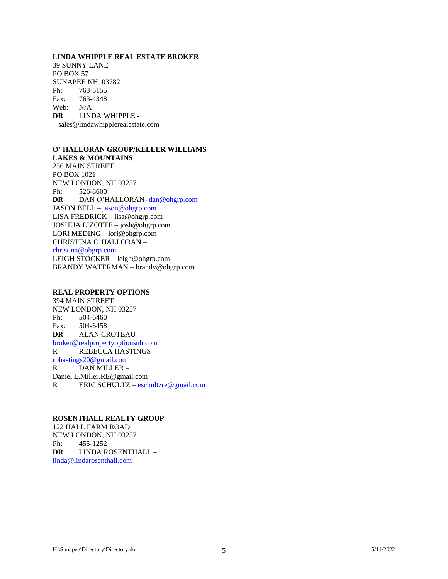## **LINDA WHIPPLE REAL ESTATE BROKER**

39 SUNNY LANE PO BOX 57 SUNAPEE NH 03782 Ph: 763-5155 Fax: 763-4348 Web: N/A **DR** LINDA WHIPPLE sales@lindawhipplerealestate.com

#### **O' HALLORAN GROUP/KELLER WILLIAMS LAKES & MOUNTAINS**

256 MAIN STREET PO BOX 1021 NEW LONDON, NH 03257 Ph: 526-8600 **DR** DAN O'HALLORAN- [dan@ohgrp.com](mailto:dan@sunapeeregionproperty.com) JASON BELL – [jason@ohgrp.com](mailto:jason@ohgrp.com) LISA FREDRICK – lisa@ohgrp.com JOSHUA LIZOTTE – josh@ohgrp.com LORI MEDING – lori@ohgrp.com CHRISTINA O'HALLORAN – [christina@ohgrp.com](mailto:christina@ohgrp.com) LEIGH STOCKER – leigh@ohgrp.com BRANDY WATERMAN – brandy@ohgrp.com

#### **REAL PROPERTY OPTIONS**

394 MAIN STREET NEW LONDON, NH 03257 Ph: 504-6460 Fax: 504-6458 **DR** ALAN CROTEAU – [broker@realpropertyoptionsnh.com](mailto:broker@realpropertyoptionsnh.com) R REBECCA HASTINGS – [rbhastings20@gmail.com](mailto:rbhastings20@gmail.com) R DAN MILLER – Daniel.L.Miller.RE@gmail.com R ERIC SCHULTZ – [eschultzre@gmail.com](mailto:eschultzre@gmail.com)

## **ROSENTHALL REALTY GROUP**

122 HALL FARM ROAD NEW LONDON, NH 03257 Ph: 455-1252 **DR** LINDA ROSENTHALL – [linda@lindarosenthall.com](mailto:linda@lindarosenthall.com)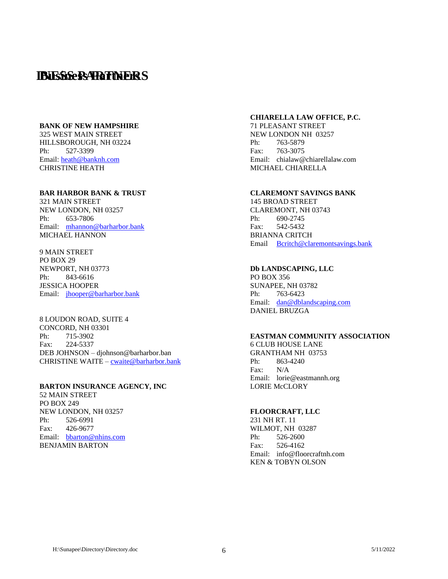## **IBIESSESS PARTINERS**

## **BANK OF NEW HAMPSHIRE**

325 WEST MAIN STREET HILLSBOROUGH, NH 03224 Ph: 527-3399 Email: [heath@banknh.com](mailto:heath@banknh.com) CHRISTINE HEATH

#### **BAR HARBOR BANK & TRUST**

321 MAIN STREET NEW LONDON, NH 03257 Ph: 653-7806 Email: [mhannon@barharbor.bank](mailto:mhannon@barharbor.bank) MICHAEL HANNON

9 MAIN STREET PO BOX 29 NEWPORT, NH 03773 Ph: 843-6616 JESSICA HOOPER Email: [jhooper@b](mailto:jhooper@)arharbor.bank

8 LOUDON ROAD, SUITE 4 CONCORD, NH 03301 Ph: 715-3902 Fax: 224-5337 DEB JOHNSON – djohnson@barharbor.ban CHRISTINE WAITE – [cwaite@barharbor.bank](mailto:cwaite@lakesunbank.com)

#### **BARTON INSURANCE AGENCY, INC**

52 MAIN STREET PO BOX 249 NEW LONDON, NH 03257 Ph: 526-6991 Fax: 426-9677 Email: [bbarton@nhins.com](mailto:bbarton@nhins.com) BENJAMIN BARTON

#### **CHIARELLA LAW OFFICE, P.C.**

71 PLEASANT STREET NEW LONDON NH 03257 Ph: 763-5879 Fax: 763-3075 Email: chialaw@chiarellalaw.com MICHAEL CHIARELLA

## **CLAREMONT SAVINGS BANK**

145 BROAD STREET CLAREMONT, NH 03743 Ph: 690-2745 Fax: 542-5432 BRIANNA CRITCH Email [Bcritch@claremontsavings.bank](mailto:Bcritch@claremontsavings.bank)

#### **Db LANDSCAPING, LLC**

PO BOX 356 SUNAPEE, NH 03782 Ph: 763-6423 Email: [dan@dblandscaping.com](mailto:dan@dblandscaping.com) DANIEL BRUZGA

## **EASTMAN COMMUNITY ASSOCIATION**

6 CLUB HOUSE LANE GRANTHAM NH 03753 Ph: 863-4240 Fax: N/A Email: lorie@eastmannh.org LORIE McCLORY

## **FLOORCRAFT, LLC**

231 NH RT. 11 WILMOT, NH 03287 Ph: 526-2600 Fax: 526-4162 Email: info@floorcraftnh.com KEN & TOBYN OLSON